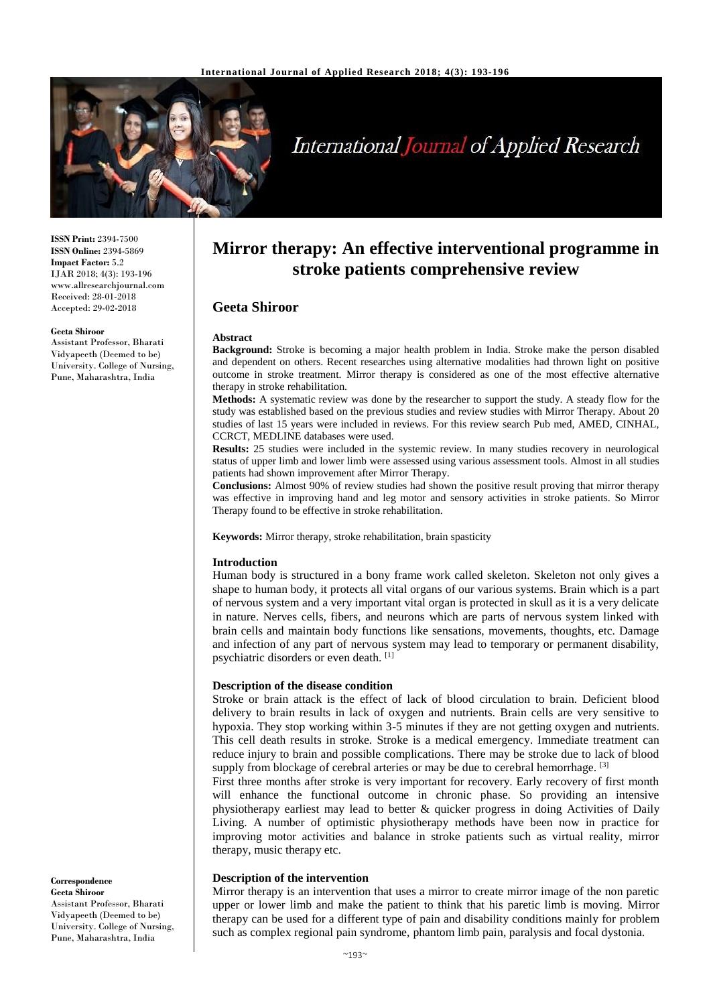

**ISSN Print:** 2394-7500 **ISSN Online:** 2394-5869 **Impact Factor:** 5.2 IJAR 2018; 4(3): 193-196 www.allresearchjournal.com Received: 28-01-2018 Accepted: 29-02-2018

#### **Geeta Shiroor**

Assistant Professor, Bharati Vidyapeeth (Deemed to be) University. College of Nursing, Pune, Maharashtra, India

**Mirror therapy: An effective interventional programme in stroke patients comprehensive review**

# **Geeta Shiroor**

#### **Abstract**

**Background:** Stroke is becoming a major health problem in India. Stroke make the person disabled and dependent on others. Recent researches using alternative modalities had thrown light on positive outcome in stroke treatment. Mirror therapy is considered as one of the most effective alternative therapy in stroke rehabilitation.

**Methods:** A systematic review was done by the researcher to support the study. A steady flow for the study was established based on the previous studies and review studies with Mirror Therapy. About 20 studies of last 15 years were included in reviews. For this review search Pub med, AMED, CINHAL, CCRCT, MEDLINE databases were used.

**Results:** 25 studies were included in the systemic review. In many studies recovery in neurological status of upper limb and lower limb were assessed using various assessment tools. Almost in all studies patients had shown improvement after Mirror Therapy.

**Conclusions:** Almost 90% of review studies had shown the positive result proving that mirror therapy was effective in improving hand and leg motor and sensory activities in stroke patients. So Mirror Therapy found to be effective in stroke rehabilitation.

**Keywords:** Mirror therapy, stroke rehabilitation, brain spasticity

#### **Introduction**

Human body is structured in a bony frame work called skeleton. Skeleton not only gives a shape to human body, it protects all vital organs of our various systems. Brain which is a part of nervous system and a very important vital organ is protected in skull as it is a very delicate in nature. Nerves cells, fibers, and neurons which are parts of nervous system linked with brain cells and maintain body functions like sensations, movements, thoughts, etc. Damage and infection of any part of nervous system may lead to temporary or permanent disability, psychiatric disorders or even death. [1]

#### **Description of the disease condition**

Stroke or brain attack is the effect of lack of blood circulation to brain. Deficient blood delivery to brain results in lack of oxygen and nutrients. Brain cells are very sensitive to hypoxia. They stop working within 3-5 minutes if they are not getting oxygen and nutrients. This cell death results in stroke. Stroke is a medical emergency. Immediate treatment can reduce injury to brain and possible complications. There may be stroke due to lack of blood supply from blockage of cerebral arteries or may be due to cerebral hemorrhage. <sup>[3]</sup>

First three months after stroke is very important for recovery. Early recovery of first month will enhance the functional outcome in chronic phase. So providing an intensive physiotherapy earliest may lead to better & quicker progress in doing Activities of Daily Living. A number of optimistic physiotherapy methods have been now in practice for improving motor activities and balance in stroke patients such as virtual reality, mirror therapy, music therapy etc.

#### **Description of the intervention**

Mirror therapy is an intervention that uses a mirror to create mirror image of the non paretic upper or lower limb and make the patient to think that his paretic limb is moving. Mirror therapy can be used for a different type of pain and disability conditions mainly for problem such as complex regional pain syndrome, phantom limb pain, paralysis and focal dystonia.

**Correspondence Geeta Shiroor** Assistant Professor, Bharati Vidyapeeth (Deemed to be) University. College of Nursing, Pune, Maharashtra, India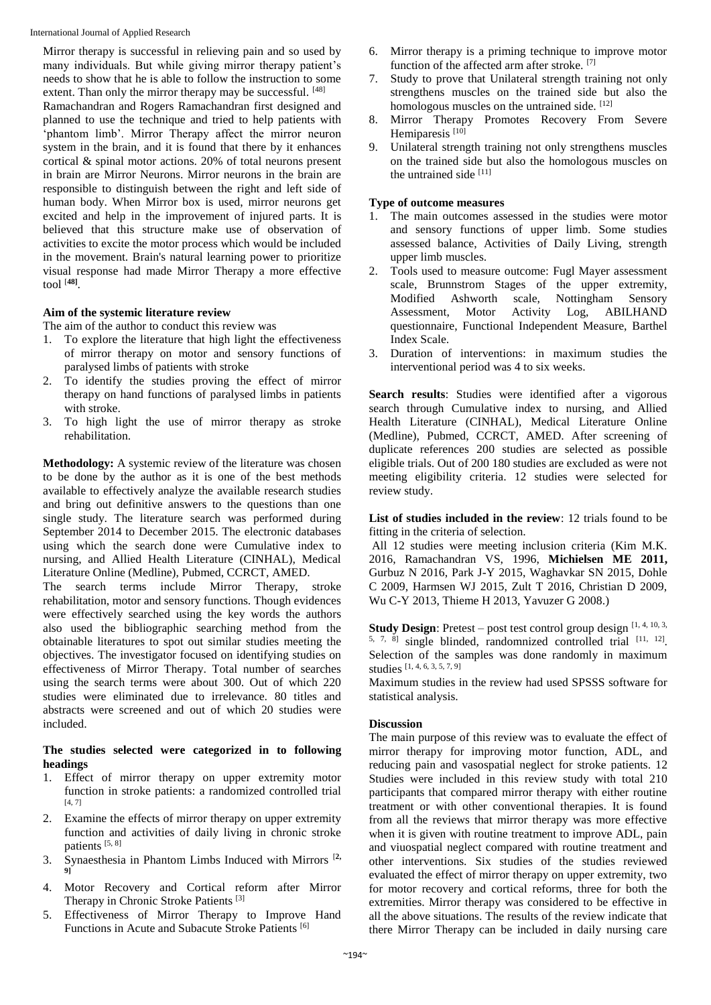Mirror therapy is successful in relieving pain and so used by many individuals. But while giving mirror therapy patient's needs to show that he is able to follow the instruction to some extent. Than only the mirror therapy may be successful. [48] Ramachandran and Rogers Ramachandran first designed and

planned to use the technique and tried to help patients with 'phantom limb'. Mirror Therapy affect the mirror neuron system in the brain, and it is found that there by it enhances cortical & spinal motor actions. 20% of total neurons present in brain are Mirror Neurons. Mirror neurons in the brain are responsible to distinguish between the right and left side of human body. When Mirror box is used, mirror neurons get excited and help in the improvement of injured parts. It is believed that this structure make use of observation of activities to excite the motor process which would be included in the movement. Brain's natural learning power to prioritize visual response had made Mirror Therapy a more effective tool [**48]** .

# **Aim of the systemic literature review**

The aim of the author to conduct this review was

- 1. To explore the literature that high light the effectiveness of mirror therapy on motor and sensory functions of paralysed limbs of patients with stroke
- 2. To identify the studies proving the effect of mirror therapy on hand functions of paralysed limbs in patients with stroke.
- 3. To high light the use of mirror therapy as stroke rehabilitation.

**Methodology:** A systemic review of the literature was chosen to be done by the author as it is one of the best methods available to effectively analyze the available research studies and bring out definitive answers to the questions than one single study. The literature search was performed during September 2014 to December 2015. The electronic databases using which the search done were Cumulative index to nursing, and Allied Health Literature (CINHAL), Medical Literature Online (Medline), Pubmed, CCRCT, AMED.

The search terms include Mirror Therapy, stroke rehabilitation, motor and sensory functions. Though evidences were effectively searched using the key words the authors also used the bibliographic searching method from the obtainable literatures to spot out similar studies meeting the objectives. The investigator focused on identifying studies on effectiveness of Mirror Therapy. Total number of searches using the search terms were about 300. Out of which 220 studies were eliminated due to irrelevance. 80 titles and abstracts were screened and out of which 20 studies were included.

## **The studies selected were categorized in to following headings**

- 1. Effect of mirror therapy on upper extremity motor function in stroke patients: a randomized controlled trial [4, 7]
- 2. Examine the effects of mirror therapy on upper extremity function and activities of daily living in chronic stroke patients [5, 8]
- 3. Synaesthesia in Phantom Limbs Induced with Mirrors [**2, 9]**
- 4. Motor Recovery and Cortical reform after Mirror Therapy in Chronic Stroke Patients<sup>[3]</sup>
- 5. Effectiveness of Mirror Therapy to Improve Hand Functions in Acute and Subacute Stroke Patients [6]
- 6. Mirror therapy is a priming technique to improve motor function of the affected arm after stroke. [7]
- 7. Study to prove that Unilateral strength training not only strengthens muscles on the trained side but also the homologous muscles on the untrained side. [12]
- 8. Mirror Therapy Promotes Recovery From Severe Hemiparesis<sup>[10]</sup>
- 9. Unilateral strength training not only strengthens muscles on the trained side but also the homologous muscles on the untrained side [11]

## **Type of outcome measures**

- 1. The main outcomes assessed in the studies were motor and sensory functions of upper limb. Some studies assessed balance, Activities of Daily Living, strength upper limb muscles.
- 2. Tools used to measure outcome: Fugl Mayer assessment scale, Brunnstrom Stages of the upper extremity,<br>Modified Ashworth scale, Nottingham Sensory Nottingham Sensory Assessment, Motor Activity Log, ABILHAND questionnaire, Functional Independent Measure, Barthel Index Scale.
- 3. Duration of interventions: in maximum studies the interventional period was 4 to six weeks.

**Search results**: Studies were identified after a vigorous search through Cumulative index to nursing, and Allied Health Literature (CINHAL), Medical Literature Online (Medline), Pubmed, CCRCT, AMED. After screening of duplicate references 200 studies are selected as possible eligible trials. Out of 200 180 studies are excluded as were not meeting eligibility criteria. 12 studies were selected for review study.

**List of studies included in the review**: 12 trials found to be fitting in the criteria of selection.

All 12 studies were meeting inclusion criteria (Kim M.K. 2016, Ramachandran VS, 1996, **Michielsen ME 2011,** Gurbuz N 2016, Park J-Y 2015, Waghavkar SN 2015, Dohle C 2009, Harmsen WJ 2015, Zult T 2016, Christian D 2009, Wu C-Y 2013, Thieme H 2013, Yavuzer G 2008.)

**Study Design:** Pretest – post test control group design [1, 4, 10, 3, 5, 7, 8] single blinded, randomnized controlled trial [11, 12] . Selection of the samples was done randomly in maximum studies [1, 4, 6, 3, 5, 7, 9]

Maximum studies in the review had used SPSSS software for statistical analysis.

### **Discussion**

The main purpose of this review was to evaluate the effect of mirror therapy for improving motor function, ADL, and reducing pain and vasospatial neglect for stroke patients. 12 Studies were included in this review study with total 210 participants that compared mirror therapy with either routine treatment or with other conventional therapies. It is found from all the reviews that mirror therapy was more effective when it is given with routine treatment to improve ADL, pain and viuospatial neglect compared with routine treatment and other interventions. Six studies of the studies reviewed evaluated the effect of mirror therapy on upper extremity, two for motor recovery and cortical reforms, three for both the extremities. Mirror therapy was considered to be effective in all the above situations. The results of the review indicate that there Mirror Therapy can be included in daily nursing care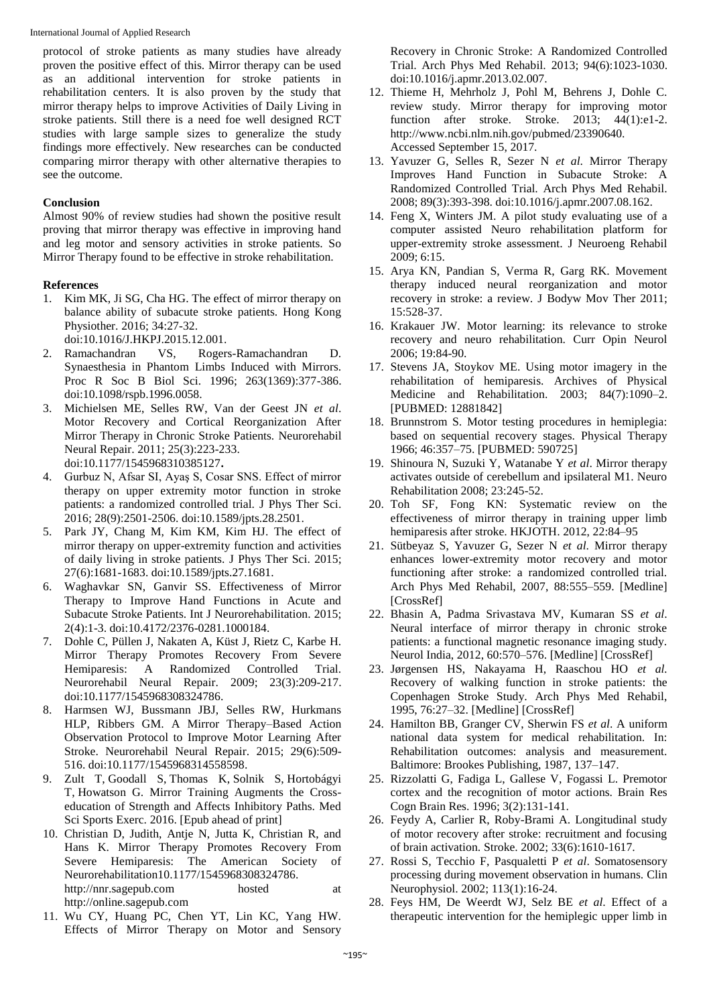protocol of stroke patients as many studies have already proven the positive effect of this. Mirror therapy can be used as an additional intervention for stroke patients in rehabilitation centers. It is also proven by the study that mirror therapy helps to improve Activities of Daily Living in stroke patients. Still there is a need foe well designed RCT studies with large sample sizes to generalize the study findings more effectively. New researches can be conducted comparing mirror therapy with other alternative therapies to see the outcome.

# **Conclusion**

Almost 90% of review studies had shown the positive result proving that mirror therapy was effective in improving hand and leg motor and sensory activities in stroke patients. So Mirror Therapy found to be effective in stroke rehabilitation.

## **References**

1. Kim MK, Ji SG, Cha HG. The effect of mirror therapy on balance ability of subacute stroke patients. Hong Kong Physiother. 2016; 34:27-32.

doi:10.1016/J.HKPJ.2015.12.001.

- 2. Ramachandran VS, Rogers-Ramachandran D. Synaesthesia in Phantom Limbs Induced with Mirrors. Proc R Soc B Biol Sci. 1996; 263(1369):377-386. doi:10.1098/rspb.1996.0058.
- 3. Michielsen ME, Selles RW, Van der Geest JN *et al*. Motor Recovery and Cortical Reorganization After Mirror Therapy in Chronic Stroke Patients. Neurorehabil Neural Repair. 2011; 25(3):223-233. doi:10.1177/1545968310385127**.**
- 4. Gurbuz N, Afsar SI, Ayaş S, Cosar SNS. Effect of mirror therapy on upper extremity motor function in stroke patients: a randomized controlled trial. J Phys Ther Sci. 2016; 28(9):2501-2506. doi:10.1589/jpts.28.2501.
- 5. Park JY, Chang M, Kim KM, Kim HJ. The effect of mirror therapy on upper-extremity function and activities of daily living in stroke patients. J Phys Ther Sci. 2015; 27(6):1681-1683. doi:10.1589/jpts.27.1681.
- 6. Waghavkar SN, Ganvir SS. Effectiveness of Mirror Therapy to Improve Hand Functions in Acute and Subacute Stroke Patients. Int J Neurorehabilitation. 2015; 2(4):1-3. doi:10.4172/2376-0281.1000184.
- 7. Dohle C, Püllen J, Nakaten A, Küst J, Rietz C, Karbe H. Mirror Therapy Promotes Recovery From Severe Hemiparesis: A Randomized Controlled Trial. Neurorehabil Neural Repair. 2009; 23(3):209-217. doi:10.1177/1545968308324786.
- 8. Harmsen WJ, Bussmann JBJ, Selles RW, Hurkmans HLP, Ribbers GM. A Mirror Therapy–Based Action Observation Protocol to Improve Motor Learning After Stroke. Neurorehabil Neural Repair. 2015; 29(6):509- 516. doi:10.1177/1545968314558598.
- 9. Zult T, Goodall S, Thomas K, Solnik S, Hortobágyi T, Howatson G. Mirror Training Augments the Crosseducation of Strength and Affects Inhibitory Paths. Med Sci Sports Exerc. 2016. [Epub ahead of print]
- 10. Christian D, Judith, Antje N, Jutta K, Christian R, and Hans K. Mirror Therapy Promotes Recovery From Severe Hemiparesis: The American Society of Neurorehabilitation10.1177/1545968308324786. http://nnr.sagepub.com hosted at http://online.sagepub.com
- 11. Wu CY, Huang PC, Chen YT, Lin KC, Yang HW. Effects of Mirror Therapy on Motor and Sensory

Recovery in Chronic Stroke: A Randomized Controlled Trial. Arch Phys Med Rehabil. 2013; 94(6):1023-1030. doi:10.1016/j.apmr.2013.02.007.

- 12. Thieme H, Mehrholz J, Pohl M, Behrens J, Dohle C. review study. Mirror therapy for improving motor function after stroke. Stroke. 2013; 44(1):e1-2. http://www.ncbi.nlm.nih.gov/pubmed/23390640. Accessed September 15, 2017.
- 13. Yavuzer G, Selles R, Sezer N *et al*. Mirror Therapy Improves Hand Function in Subacute Stroke: A Randomized Controlled Trial. Arch Phys Med Rehabil. 2008; 89(3):393-398. doi:10.1016/j.apmr.2007.08.162.
- 14. Feng X, Winters JM. A pilot study evaluating use of a computer assisted Neuro rehabilitation platform for upper-extremity stroke assessment. J Neuroeng Rehabil 2009; 6:15.
- 15. Arya KN, Pandian S, Verma R, Garg RK. Movement therapy induced neural reorganization and motor recovery in stroke: a review. J Bodyw Mov Ther 2011; 15:528-37.
- 16. Krakauer JW. Motor learning: its relevance to stroke recovery and neuro rehabilitation. Curr Opin Neurol 2006; 19:84-90.
- 17. Stevens JA, Stoykov ME. Using motor imagery in the rehabilitation of hemiparesis. Archives of Physical Medicine and Rehabilitation. 2003; 84(7):1090–2. [PUBMED: 12881842]
- 18. Brunnstrom S. Motor testing procedures in hemiplegia: based on sequential recovery stages. Physical Therapy 1966; 46:357–75. [PUBMED: 590725]
- 19. Shinoura N, Suzuki Y, Watanabe Y *et al*. Mirror therapy activates outside of cerebellum and ipsilateral M1. Neuro Rehabilitation 2008; 23:245-52.
- 20. Toh SF, Fong KN: Systematic review on the effectiveness of mirror therapy in training upper limb hemiparesis after stroke. HKJOTH. 2012, 22:84–95
- 21. Sütbeyaz S, Yavuzer G, Sezer N *et al*. Mirror therapy enhances lower-extremity motor recovery and motor functioning after stroke: a randomized controlled trial. Arch Phys Med Rehabil, 2007, 88:555–559. [Medline] [CrossRef]
- 22. Bhasin A, Padma Srivastava MV, Kumaran SS *et al*. Neural interface of mirror therapy in chronic stroke patients: a functional magnetic resonance imaging study. Neurol India, 2012, 60:570–576. [Medline] [CrossRef]
- 23. Jørgensen HS, Nakayama H, Raaschou HO *et al.* Recovery of walking function in stroke patients: the Copenhagen Stroke Study. Arch Phys Med Rehabil, 1995, 76:27–32. [Medline] [CrossRef]
- 24. Hamilton BB, Granger CV, Sherwin FS *et al*. A uniform national data system for medical rehabilitation. In: Rehabilitation outcomes: analysis and measurement. Baltimore: Brookes Publishing, 1987, 137–147.
- 25. Rizzolatti G, Fadiga L, Gallese V, Fogassi L. Premotor cortex and the recognition of motor actions. Brain Res Cogn Brain Res. 1996; 3(2):131-141.
- 26. Feydy A, Carlier R, Roby-Brami A. Longitudinal study of motor recovery after stroke: recruitment and focusing of brain activation. Stroke. 2002; 33(6):1610-1617.
- 27. Rossi S, Tecchio F, Pasqualetti P *et al*. Somatosensory processing during movement observation in humans. Clin Neurophysiol. 2002; 113(1):16-24.
- 28. Feys HM, De Weerdt WJ, Selz BE *et al*. Effect of a therapeutic intervention for the hemiplegic upper limb in